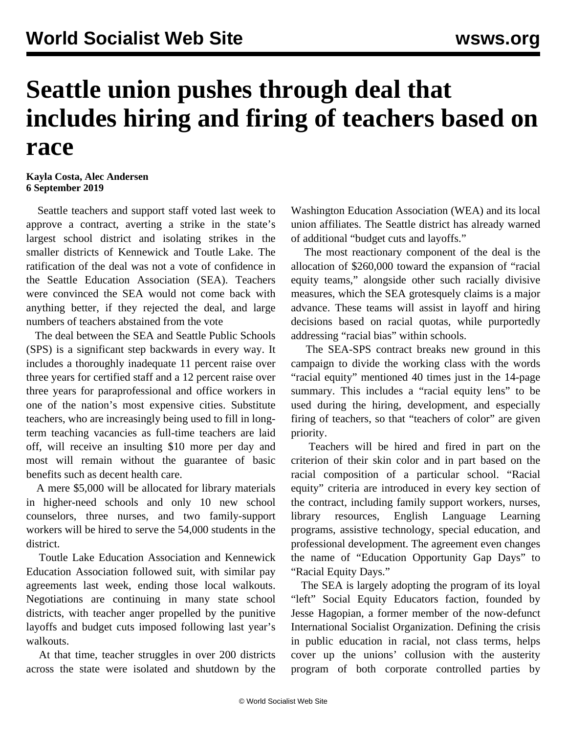## **Seattle union pushes through deal that includes hiring and firing of teachers based on race**

**Kayla Costa, Alec Andersen 6 September 2019**

 Seattle teachers and support staff voted last week to approve a contract, averting a strike in the state's largest school district and isolating strikes in the smaller districts of Kennewick and Toutle Lake. The ratification of the deal was not a vote of confidence in the Seattle Education Association (SEA). Teachers were convinced the SEA would not come back with anything better, if they rejected the deal, and large numbers of teachers abstained from the vote

 The deal between the SEA and Seattle Public Schools (SPS) is a significant step backwards in every way. It includes a thoroughly inadequate 11 percent raise over three years for certified staff and a 12 percent raise over three years for paraprofessional and office workers in one of the nation's most expensive cities. Substitute teachers, who are increasingly being used to fill in longterm teaching vacancies as full-time teachers are laid off, will receive an insulting \$10 more per day and most will remain without the guarantee of basic benefits such as decent health care.

 A mere \$5,000 will be allocated for library materials in higher-need schools and only 10 new school counselors, three nurses, and two family-support workers will be hired to serve the 54,000 students in the district.

 Toutle Lake Education Association and Kennewick Education Association followed suit, with similar pay agreements last week, ending those local walkouts. Negotiations are continuing in many state school districts, with teacher anger propelled by the punitive layoffs and budget cuts imposed following last year's walkouts.

 At that time, teacher struggles in over 200 districts across the state were [isolated](/en/articles/2018/09/19/wash-s19.html) [and](/en/articles/2018/09/19/wash-s19.html) [shutdown](/en/articles/2018/09/19/wash-s19.html) by the Washington Education Association (WEA) and its local union affiliates. The Seattle district has already warned of additional "budget cuts and layoffs."

 The most reactionary component of the deal is the allocation of \$260,000 toward the expansion of "racial equity teams," alongside other such racially divisive measures, which the SEA grotesquely claims is a major advance. These teams will assist in layoff and hiring decisions based on racial quotas, while purportedly addressing "racial bias" within schools.

 The SEA-SPS contract breaks new ground in this campaign to divide the working class with the words "racial equity" mentioned 40 times just in the 14-page summary. This includes a "racial equity lens" to be used during the hiring, development, and especially firing of teachers, so that "teachers of color" are given priority.

 Teachers will be hired and fired in part on the criterion of their skin color and in part based on the racial composition of a particular school. "Racial equity" criteria are introduced in every key section of the contract, including family support workers, nurses, library resources, English Language Learning programs, assistive technology, special education, and professional development. The agreement even changes the name of "Education Opportunity Gap Days" to "Racial Equity Days."

 The SEA is largely adopting the program of its loyal "left" Social Equity Educators faction, founded by Jesse Hagopian, a former member of the now-defunct International Socialist Organization. Defining the crisis in public education in racial, not class terms, helps cover up the unions' collusion with the austerity program of both corporate controlled parties by